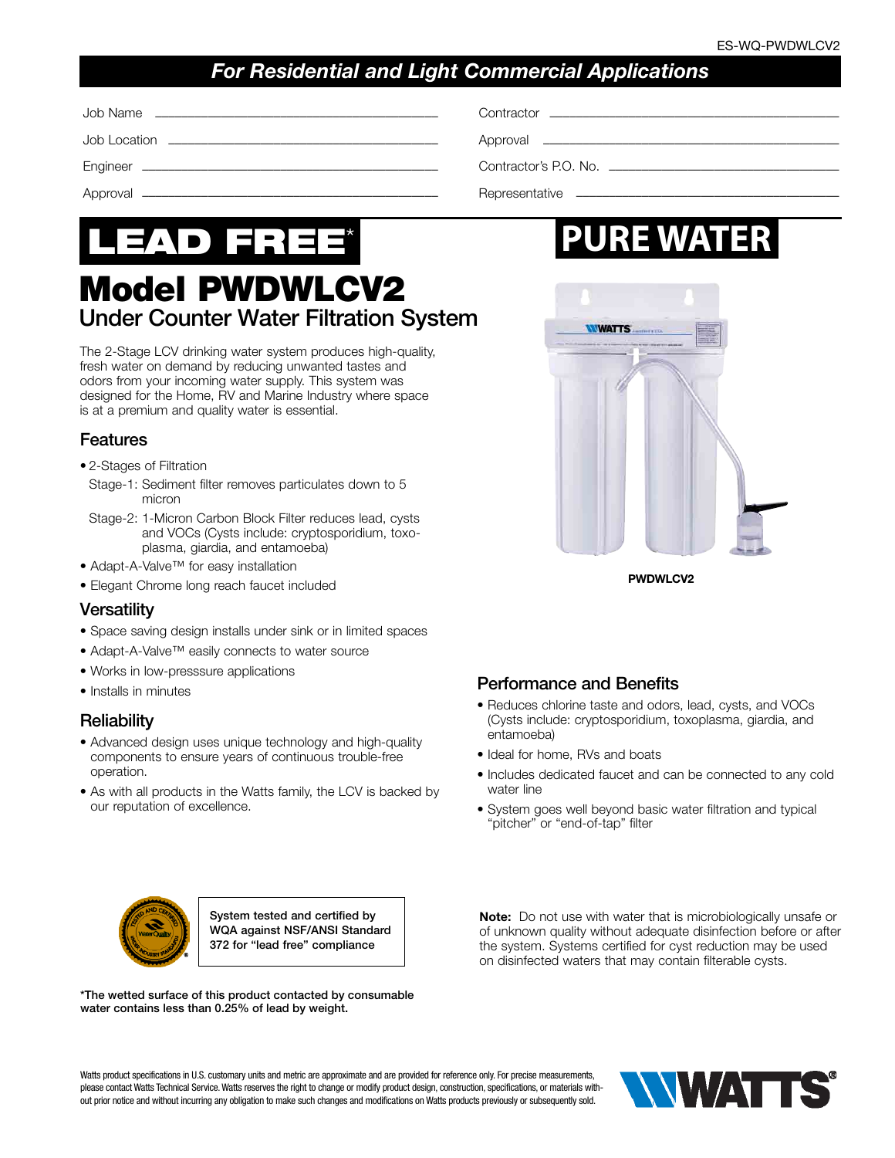## *For Residential and Light Commercial Applications*

| Contractor <b>Contractor Contractor Contractor Contractor Contractor Contractor</b> |
|-------------------------------------------------------------------------------------|
| Approval <u>________________________________</u>                                    |
| Contractor's P.O. No.                                                               |
|                                                                                     |

# LEAD FREE\*

# Model PWDWLCV2 Under Counter Water Filtration System

The 2-Stage LCV drinking water system produces high-quality, fresh water on demand by reducing unwanted tastes and odors from your incoming water supply. This system was designed for the Home, RV and Marine Industry where space is at a premium and quality water is essential.

### Features

- 2-Stages of Filtration
- Stage-1: Sediment filter removes particulates down to 5 micron
- Stage-2: 1-Micron Carbon Block Filter reduces lead, cysts and VOCs (Cysts include: cryptosporidium, toxoplasma, giardia, and entamoeba)
- Adapt-A-Valve™ for easy installation
- Elegant Chrome long reach faucet included

### **Versatility**

- Space saving design installs under sink or in limited spaces
- Adapt-A-Valve™ easily connects to water source
- Works in low-presssure applications
- Installs in minutes

### **Reliability**

- Advanced design uses unique technology and high-quality components to ensure years of continuous trouble-free operation.
- As with all products in the Watts family, the LCV is backed by our reputation of excellence.

# **PURE WATER**



### Performance and Benefits

- Reduces chlorine taste and odors, lead, cysts, and VOCs (Cysts include: cryptosporidium, toxoplasma, giardia, and entamoeba)
- Ideal for home, RVs and boats
- Includes dedicated faucet and can be connected to any cold water line
- System goes well beyond basic water filtration and typical "pitcher" or "end-of-tap" filter



System tested and certified by WQA against NSF/ANSI Standard 372 for "lead free" compliance

\*The wetted surface of this product contacted by consumable water contains less than 0.25% of lead by weight.

Note: Do not use with water that is microbiologically unsafe or of unknown quality without adequate disinfection before or after the system. Systems certified for cyst reduction may be used on disinfected waters that may contain filterable cysts.

Watts product specifications in U.S. customary units and metric are approximate and are provided for reference only. For precise measurements, please contact Watts Technical Service. Watts reserves the right to change or modify product design, construction, specifications, or materials without prior notice and without incurring any obligation to make such changes and modifications on Watts products previously or subsequently sold.